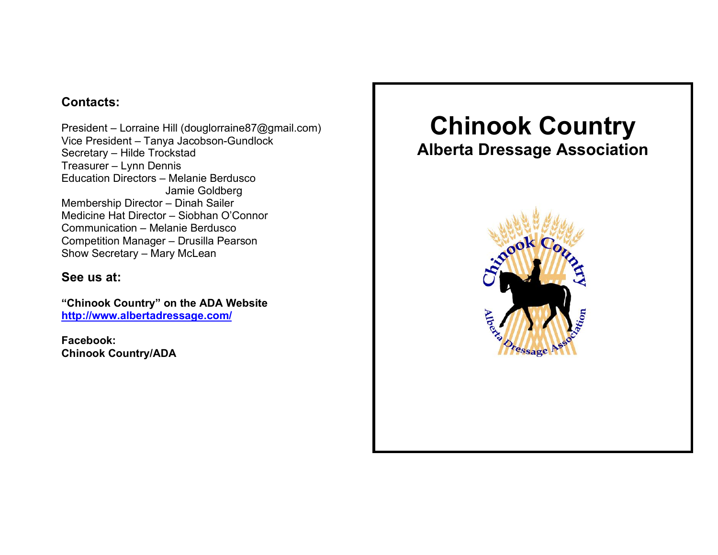## **Contacts:**

President – Lorraine Hill (douglorraine87@gmail.com) Vice President – Tanya Jacobson-Gundlock Secretary – Hilde Trockstad Treasurer – Lynn Dennis Education Directors – Melanie Berdusco Jamie Goldberg Membership Director – Dinah Sailer Medicine Hat Director – Siobhan O'Connor Communication – Melanie Berdusco Competition Manager – Drusilla Pearson Show Secretary – Mary McLean

## **See us at:**

**"Chinook Country" on the ADA Website http://www.albertadressage.com/**

**Facebook: Chinook Country/ADA**

# **Chinook Country**

## **Alberta Dressage Association**